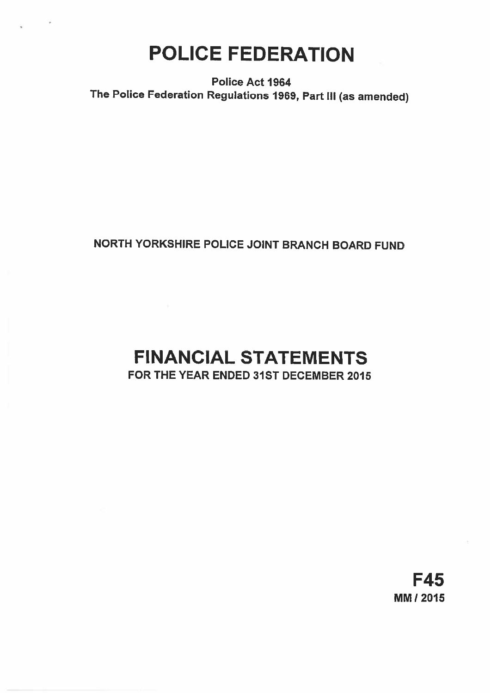# POLICE FEDERATION

Police Act 1964 The Police Federation Regulations 1969, Part Ill (as amended)

# NORTH YORKSHIRE POLICE JOINT BRANCH BOARD FUND

# FINANCIAL STATEMENTS FOR THE YEAR ENDED 31ST DECEMBER 2015

F45 MM! 2015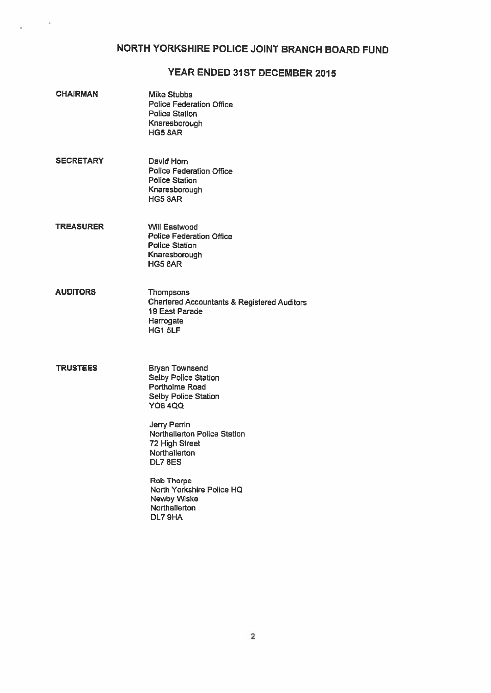# NORTH YORKSHIRE POLICE JOINT BRANCH BOARD FUND

# YEAR ENDED 31ST DECEMBER 2015

| <b>CHAIRMAN</b>  | <b>Mike Stubbs</b><br><b>Police Federation Office</b><br><b>Police Station</b><br>Knaresborough<br>HG5 BAR                                                                                                                                                                                                                      |
|------------------|---------------------------------------------------------------------------------------------------------------------------------------------------------------------------------------------------------------------------------------------------------------------------------------------------------------------------------|
| <b>SECRETARY</b> | David Horn<br><b>Police Federation Office</b><br><b>Police Station</b><br>Knaresborough<br><b>HG5 8AR</b>                                                                                                                                                                                                                       |
| <b>TREASURER</b> | Will Eastwood<br><b>Police Federation Office</b><br><b>Police Station</b><br>Knaresborough<br>HG5 8AR                                                                                                                                                                                                                           |
| <b>AUDITORS</b>  | <b>Thompsons</b><br><b>Chartered Accountants &amp; Registered Auditors</b><br>19 East Parade<br>Harrogate<br><b>HG1 5LF</b>                                                                                                                                                                                                     |
| <b>TRUSTEES</b>  | <b>Bryan Townsend</b><br><b>Selby Police Station</b><br><b>Portholme Road</b><br><b>Selby Police Station</b><br><b>YO8 4QQ</b><br>Jerry Perrin<br>Northallerton Police Station<br>72 High Street<br>Northallerton<br><b>DL7 8ES</b><br><b>Rob Thorpe</b><br>North Yorkshire Police HQ<br>Newby Wiske<br>Northallerton<br>DL79HA |

 $\sim$   $\sim$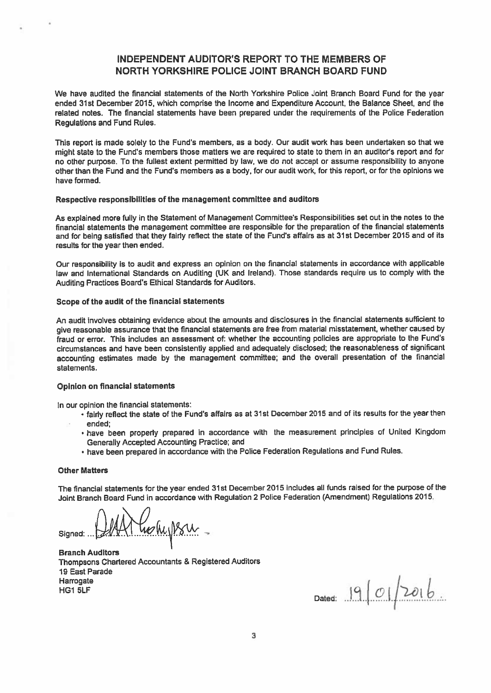# INDEPENDENT AUDITOR'S REPORT TO THE MEMBERS OF NORTH YORKSHIRE POLICE JOINT BRANCH BOARD FUND

We have audited the financial statements of the North Yorkshire Police Joint Branch Board Fund for the year ended 31st December 2015, which comprise the Income and Expenditure Account, the Balance Sheet, and the related notes. The financial statements have been prepared under the requirements of the Police Federation Regulations and Fund Rules.

This report is made solely to the Fund's members, as a body. Our audit work has been undertaken so that we might state to the Fund's members those matters we are required to state to them in an auditor's repor<sup>t</sup> and for no other purpose. To the fullest extant permitted by law, we do not accep<sup>t</sup> or assume responsibility to anyone other than the Fund and the Fund's members as <sup>a</sup> body, for our audit work, for this report, or for the opinions we have formed.

#### Respective responsibilities of the managemen<sup>t</sup> committee and auditors

As explained more fully in the Statement of Management Committee's Responsibilities set out in the notes to the financial statements the managemen<sup>t</sup> committee are responsible for the preparation of the financial statements and for being satisfied that they fairly reflect the state of the Fund's affairs as at 31st December <sup>2015</sup> and of its results for the year then ended.

Our responsibility is to audit and express an opinion on the financial statements in accordance with applicable law and International Standards on Auditing (UK and Ireland). Those standards require us to comply with the Auditing Practices Board's Ethical Standards for Auditors.

#### Scope of the audit of the financial statements

An audit involves obtaining evidence about the amounts and disclosures in the financial statements sufficient to <sup>g</sup>ive reasonable assurance that the financial statements are free from material misstatement, whether caused by fraud or error. This includes an assessment of: whether the accounting policies are appropriate to the Fund's circumstances and have been consistently applied and adequately disclosed; the reasonableness of significant accounting estimates made by the managemen<sup>t</sup> committee; and the overall presentation of the financial statements.

#### Opinion on financial statements

in our opinion the financial statements:

- fairly reflect the state of the Fund's affairs as at 31st December <sup>2015</sup> and of its results for the year then ended;
- have been properly prepare<sup>d</sup> in accordance with the measurement principles of United Kingdom Generally Accepted Accounting Practice; and
- have been prepare<sup>d</sup> in accordance with the Police Federation Regulations and Fund Rules.

#### Other Matters

The financial statements for the year ended 31st December <sup>2015</sup> includes all funds raised for the purpose of the Joint Branch Board Fund in accordance with Regulation 2 Police Federation (Amendment) Regulations 2015.

Aftholysu. Signed:  $\mathbb{R}$ 

Branch Auditors Thompsons Chartered Accountants & Registered Auditors 19 East Parade  $\blacksquare$  Harrogate  $\blacksquare$ HG1 5LF

Dated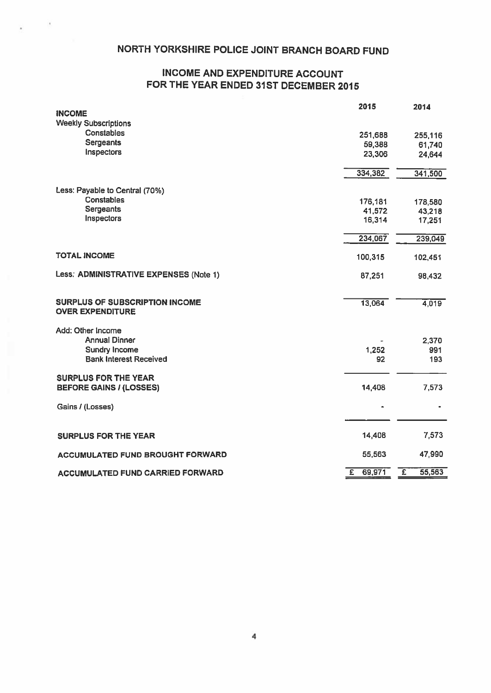# NORTH YORKSHIRE POLICE JOINT BRANCH BOARD FUND

# INCOME AND EXPENDITURE ACCOUNT FOR THE YEAR ENDED 31ST DECEMBER 2015

| <b>INCOME</b>                           | 2015                     | 2014        |
|-----------------------------------------|--------------------------|-------------|
| <b>Weekly Subscriptions</b>             |                          |             |
| <b>Constables</b>                       | 251,688                  | 255,116     |
| Sergeants                               | 59,388                   | 61,740      |
| Inspectors                              | 23,306                   | 24,644      |
|                                         |                          |             |
|                                         | 334,382                  | 341,500     |
| Less: Payable to Central (70%)          |                          |             |
| <b>Constables</b>                       | 176,181                  | 178,580     |
| Sergeants                               | 41,572                   | 43,218      |
| Inspectors                              | 16,314                   | 17,251      |
|                                         | 234,067                  | 239,049     |
| <b>TOTAL INCOME</b>                     | 100,315                  | 102,451     |
|                                         |                          |             |
| Less: ADMINISTRATIVE EXPENSES (Note 1)  | 87,251                   | 98,432      |
| SURPLUS OF SUBSCRIPTION INCOME          | 13,064                   | 4,019       |
| <b>OVER EXPENDITURE</b>                 |                          |             |
| Add: Other Income                       |                          |             |
| <b>Annual Dinner</b>                    |                          | 2,370       |
| <b>Sundry Income</b>                    | 1,252                    | 991         |
| <b>Bank Interest Received</b>           | 92                       | 193         |
| <b>SURPLUS FOR THE YEAR</b>             |                          |             |
| <b>BEFORE GAINS / (LOSSES)</b>          | 14,408                   | 7,573       |
| Gains / (Losses)                        |                          |             |
|                                         |                          |             |
| <b>SURPLUS FOR THE YEAR</b>             | 14,408                   | 7,573       |
| ACCUMULATED FUND BROUGHT FORWARD        | 55,563                   | 47,990      |
| <b>ACCUMULATED FUND CARRIED FORWARD</b> | 69,971<br>$\overline{E}$ | Έ<br>55,563 |
|                                         |                          |             |

4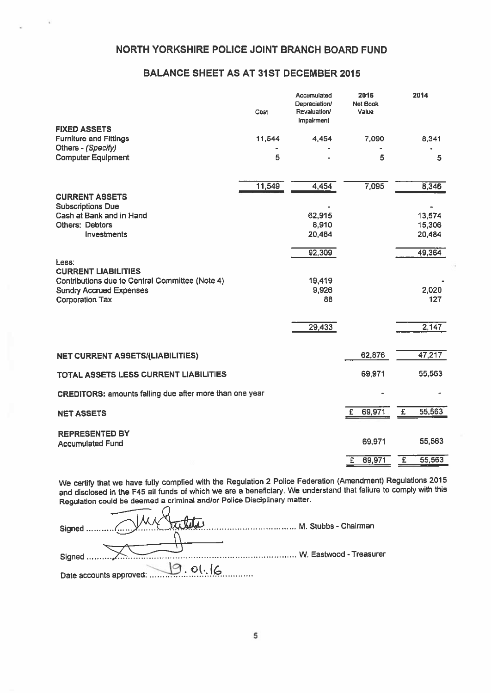# NORTH YORKSHIRE POLICE JOINT BRANCH BOARD FUND

# BALANCE SHEET AS AT 31ST DECEMBER 2015

|                                                          | Cost   | Accumulated<br>Depreciation/<br>Revaluation/<br>Impairment | 2015<br><b>Net Book</b><br>Value | 2014         |
|----------------------------------------------------------|--------|------------------------------------------------------------|----------------------------------|--------------|
| <b>FIXED ASSETS</b><br><b>Furniture and Fittings</b>     | 11,544 | 4,454                                                      | 7,090                            | 8,341        |
| Others - (Specify)<br><b>Computer Equipment</b>          | 5      |                                                            | 5                                | 5            |
|                                                          | 11,549 | 4,454                                                      | 7,095                            | 8,346        |
| <b>CURRENT ASSETS</b><br><b>Subscriptions Due</b>        |        |                                                            |                                  |              |
| Cash at Bank and in Hand                                 |        | 62,915                                                     |                                  | 13,574       |
| <b>Others: Debtors</b>                                   |        | 8,910                                                      |                                  | 15,306       |
| <b>Investments</b>                                       |        | 20,484                                                     |                                  | 20,484       |
|                                                          |        | 92,309                                                     |                                  | 49,364       |
| Less:<br><b>CURRENT LIABILITIES</b>                      |        |                                                            |                                  |              |
| Contributions due to Central Committee (Note 4)          |        | 19,419                                                     |                                  |              |
| <b>Sundry Accrued Expenses</b><br><b>Corporation Tax</b> |        | 9,926<br>88                                                |                                  | 2,020<br>127 |
|                                                          |        | 29,433                                                     |                                  | 2,147        |
|                                                          |        |                                                            |                                  |              |
| <b>NET CURRENT ASSETS/(LIABILITIES)</b>                  |        |                                                            | 62,876                           | 47,217       |
| TOTAL ASSETS LESS CURRENT LIABILITIES                    |        |                                                            | 69,971                           | 55,563       |
| CREDITORS: amounts falling due after more than one year  |        |                                                            |                                  |              |
| <b>NET ASSETS</b>                                        |        |                                                            | 69,971<br>£.                     | 55,563<br>£  |
| <b>REPRESENTED BY</b><br><b>Accumulated Fund</b>         |        |                                                            | 69,971                           | 55,563       |
|                                                          |        |                                                            |                                  |              |
|                                                          |        |                                                            | £<br>69,971                      | Έ<br>55,563  |

We certify that we have fully complied with the Regulation <sup>2</sup> Police Federation (Amendment) Regulations <sup>2015</sup> and disclosed in the F45 all funds of which we are <sup>a</sup> beneficiary. We understand that failure to comply with this Regulation could be deemed a criminal and/or Police Disciplinary matter.

|                         | M. Stubbs - Chairman    |
|-------------------------|-------------------------|
|                         |                         |
| Signed                  | W. Eastwood - Treasurer |
| Date accounts approved: |                         |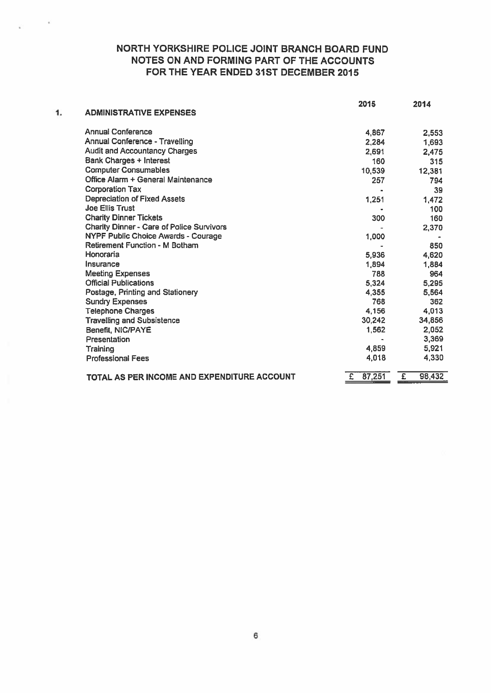# NORTH YORKSHIRE POLICE JOINT BRANCH BOARD FUND NOTES ON AND FORMING PART OF THE ACCOUNTS FOR THE YEAR ENDED 31ST DECEMBER 2015

|    |                                                  | 2015        | 2014        |
|----|--------------------------------------------------|-------------|-------------|
| 1. | <b>ADMINISTRATIVE EXPENSES</b>                   |             |             |
|    | <b>Annual Conference</b>                         | 4,867       | 2,553       |
|    | Annual Conference - Travelling                   | 2,284       | 1,693       |
|    | <b>Audit and Accountancy Charges</b>             | 2,691       | 2,475       |
|    | Bank Charges + Interest                          | 160         | 315         |
|    | <b>Computer Consumables</b>                      | 10,539      | 12,381      |
|    | Office Alarm + General Maintenance               | 257         | 794         |
|    | <b>Corporation Tax</b>                           |             | 39          |
|    | <b>Depreciation of Fixed Assets</b>              | 1,251       | 1,472       |
|    | <b>Joe Ellis Trust</b>                           |             | 100         |
|    | <b>Charity Dinner Tickets</b>                    | 300         | 160         |
|    | <b>Charity Dinner - Care of Police Survivors</b> |             | 2,370       |
|    | NYPF Public Choice Awards - Courage              | 1,000       |             |
|    | <b>Retirement Function - M Botham</b>            |             | 850         |
|    | Honoraria                                        | 5,936       | 4,620       |
|    | Insurance                                        | 1,894       | 1,884       |
|    | <b>Meeting Expenses</b>                          | 788         | 964         |
|    | <b>Official Publications</b>                     | 5,324       | 5,295       |
|    | Postage, Printing and Stationery                 | 4,355       | 5,564       |
|    | <b>Sundry Expenses</b>                           | 768         | 362         |
|    | <b>Telephone Charges</b>                         | 4,156       | 4,013       |
|    | <b>Travelling and Subsistence</b>                | 30,242      | 34,856      |
|    | Benefit, NIC/PAYE                                | 1,562       | 2,052       |
|    | Presentation                                     |             | 3,369       |
|    | Training                                         | 4,859       | 5,921       |
|    | <b>Professional Fees</b>                         | 4,018       | 4,330       |
|    | TOTAL AS PER INCOME AND EXPENDITURE ACCOUNT      | 87,251<br>£ | E<br>98,432 |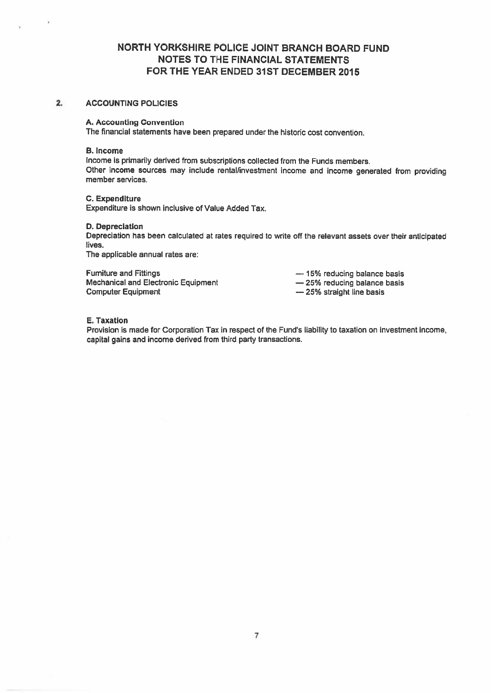# NORTH YORKSHIRE POLICE JOINT BRANCH BOARD FUND NOTES TO THE FINANCIAL STATEMENTS FOR THE YEAR ENDED 31ST DECEMBER 2015

#### 2. ACCOUNTING POLICIES

#### A. Accounting Convention

The financial statements have been prepared under the historic cost convention.

#### B. Income

Income is primarily derived from subscriptions collected from the Funds members. Other income sources may include rental/investment income and income generated from providing member services.

#### C. Expenditure

Expenditure is shown inclusive of Value Added Tax.

#### D. Depreciation

Depreciation has been calculated at rates required to write off the relevant assets over their anticipated lives.

The applicable annual rates are:

Furniture and Fittings **Exercise 20** Termiture and Fittings **Exercise 20** Termiture and Fittings Mechanical and Electronic Equipment — 25% reducing balance basis Computer Equipment **Example 25%** straight line basis

#### E. Taxation

Provision is made for Corporation Tax in respec<sup>t</sup> of the Fund's liability to taxation on investment income, capital gains and income derived from third party transactions.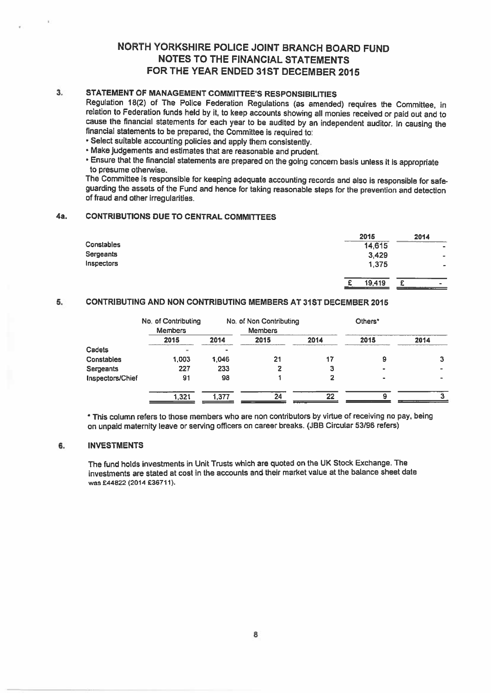# NORTH YORKSHIRE POLICE JOINT BRANCH BOARD FUND NOTES TO THE FINANCIAL STATEMENTS FOR THE YEAR ENDED 31ST DECEMBER 2015

# 3. STATEMENT OF MANAGEMENT COMMITTEE'S RESPONSIBILITIES

Regulation 18(2) of The Police Federation Regulations (as amended) requires the Committee, in relation to Federation funds held by it, to keep accounts showing all monies received or paid out and to cause the financial statements for each year to be audited by an independent auditor. In causing the financial statements to be prepared, the Committee is required to:

- Select suitable accounting policies and apply them consistently.
- Make judgements and estimates that are reasonable and prudent.
- Ensure that the financial statements are prepared on the going concern basis unless it is appropriate to presume otherwise.

The Committee is responsible for keeping adequate accounting records and also is responsible for safeguarding the assets of the Fund and hence for taking reasonable steps for the prevention and detection of fraud and other irregularities.

#### 4a. CONTRIBUTIONS DUE TO CENTRAL COMMITTEES

|                  | 2015        | 2014                     |
|------------------|-------------|--------------------------|
| Constables       | 14,615      | $\sim$                   |
| <b>Sergeants</b> | 3,429       | $\overline{\phantom{a}}$ |
| Inspectors       | 1,375       | $\bullet$                |
|                  | 19,419<br>r | $\rightarrow$<br>______  |

### 5, CONTRIBUTING AND NON CONTRIBUTING MEMBERS AT 31ST DECEMBER 2015

|                  | No. of Contributing |       | No. of Non Contributing |      | Others*   |      |
|------------------|---------------------|-------|-------------------------|------|-----------|------|
|                  | <b>Members</b>      |       | <b>Members</b>          |      |           |      |
|                  | 2015                | 2014  | 2015                    | 2014 | 2015      | 2014 |
| Cadets           |                     |       |                         |      |           |      |
| Constables       | 1,003               | 1.046 | 21                      | 17   | 9         |      |
| Sergeants        | 227                 | 233   |                         | з    |           |      |
| Inspectors/Chief | 91                  | 98    |                         | 2    | $\bullet$ |      |
|                  | 1.321               | 1.377 | 24                      | 22   |           |      |

\* This column refers to those members who are non contributors by virtue of receiving no pay, being on unpaid maternity leave or serving officers on career breaks. (JBB Circular 53/96 refers)

### 6. INVESTMENTS

The fund holds investments in Unit Trusts which are quoted on the UK Stock Exchange. The investments are stated at cost in the accounts and their market value at the balance sheet date was £44822 (2014 £36711).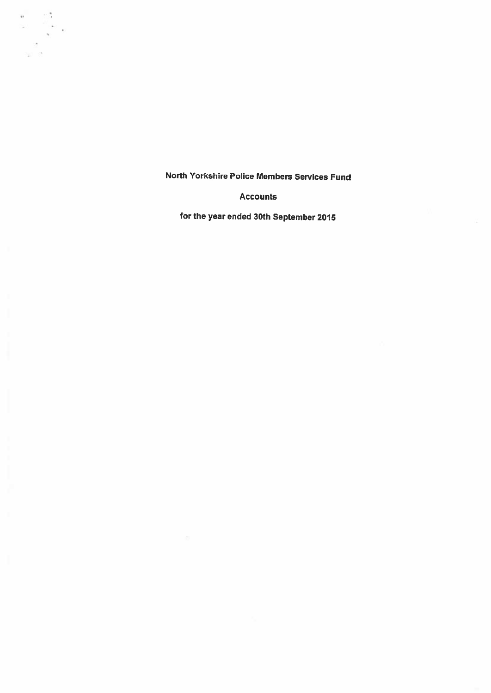$\sim$  $\frac{1}{4}$ 

Accounts

for the year ended 30th September <sup>2015</sup>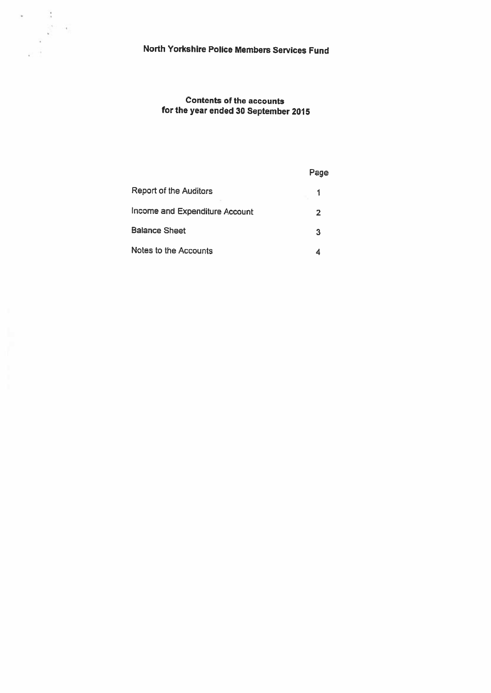# Contents of the accounts for the year ended <sup>30</sup> September <sup>2015</sup>

|                                | Page |
|--------------------------------|------|
| Report of the Auditors         |      |
| Income and Expenditure Account | 2    |
| <b>Balance Sheet</b>           | 3    |
| Notes to the Accounts          |      |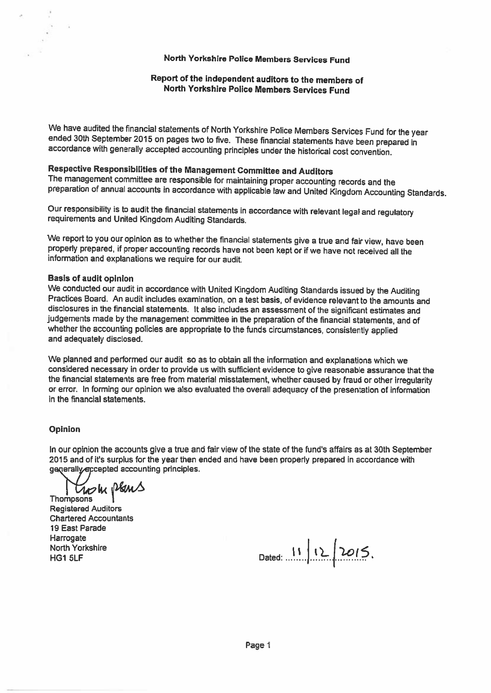### Report of the independent auditors to the members of North Yorkshire Police Members Services Fund

We have audited the financial statements of North Yorkshire Police Members Services Fund for the year<br>ended 30th September 2015 on pages two to five. These financial statements have been prepared in<br>accordance with general

Respective Responsibilities of the Management Committee and Auditors<br>The management committee are responsible for maintaining proper accounting records and the preparation of annual accounts in accordance with applicable law and United Kingdom Accounting Standards.

Our responsibility is to audit the financial statements in accordance with relevant legal and regulatory requirements and United Kingdom Auditing Standards.

We report to you our opinion as to whether the financial statements give a true and fair view, have been properly prepared, if proper accounting records have not been kept or if we have not received all the information and

#### Basis of audit opinion

We conducted our audit in accordance with United Kingdom Auditing Standards issued by the Auditing<br>Practices Board. An audit includes examination, on a test basis, of evidence relevant to the amounts and disclosures in the financial statements. it also includes an assessment of the significant estimates and judgements made by the management committee in the preparation of the financial statements, and of whether the accounting policies are appropriate to the funds circumstances, consistently applied and adequately disclosed.

We <sup>p</sup>lanned and performed our audit so as to obtain all the information and explanations which we considered necessary in order to provide us with sufficient evidence to <sup>g</sup>ive reasonable assurance that the the financial statements are free from material misstatement, whether caused by fraud or other irregularity or error. In forming our opinion we also evaluated the overall adequacy of the presentation of information in the financial statements.

### Opinion

In our opinion the accounts give <sup>a</sup> true and fair view of the state of the fund's affairs as at 30th September 2015 and of it's surplus for the year then ended and have been properly prepared in accordance with generally accepted accounting principles.

Thompsons Regulars

Registered Auditors Chartered Accountants 19 East Parade **Harrogate** 

North Yorkshire<br>HG1 5LF Dated: 11 12 2015.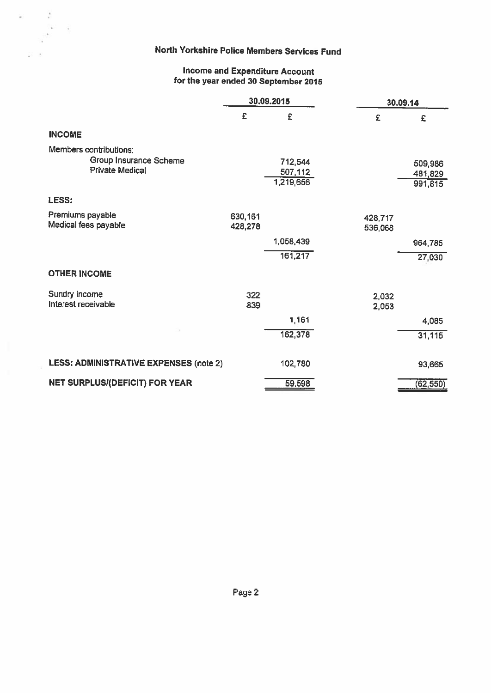$\frac{1}{2}$  .  $\frac{1}{2}$ 

### Income and Expenditure Account for the year ended <sup>30</sup> September <sup>2015</sup>

|                                                                            | 30.09.2015         |                                 |                    | 30.09.14                      |  |
|----------------------------------------------------------------------------|--------------------|---------------------------------|--------------------|-------------------------------|--|
|                                                                            | £                  | £                               | £                  | £                             |  |
| <b>INCOME</b>                                                              |                    |                                 |                    |                               |  |
| Members contributions:<br>Group Insurance Scheme<br><b>Private Medical</b> |                    | 712,544<br>507,112<br>1,219,656 |                    | 509,986<br>481,829<br>991,815 |  |
| LESS:                                                                      |                    |                                 |                    |                               |  |
| Premiums payable<br>Medical fees payable                                   | 630,161<br>428,278 |                                 | 428,717<br>536,068 |                               |  |
|                                                                            |                    | 1,058,439                       |                    | 964,785                       |  |
|                                                                            |                    | 161,217                         |                    | 27,030                        |  |
| <b>OTHER INCOME</b>                                                        |                    |                                 |                    |                               |  |
| Sundry income<br>Interest receivable                                       | 322<br>839         |                                 | 2,032<br>2,053     |                               |  |
|                                                                            |                    | 1,161                           |                    | 4,085                         |  |
|                                                                            |                    | 162,378                         |                    | 31,115                        |  |
| <b>LESS: ADMINISTRATIVE EXPENSES (note 2)</b>                              |                    | 102,780                         |                    | 93,665                        |  |
| <b>NET SURPLUS/(DEFICIT) FOR YEAR</b>                                      |                    | 59,598                          |                    | (62, 550)                     |  |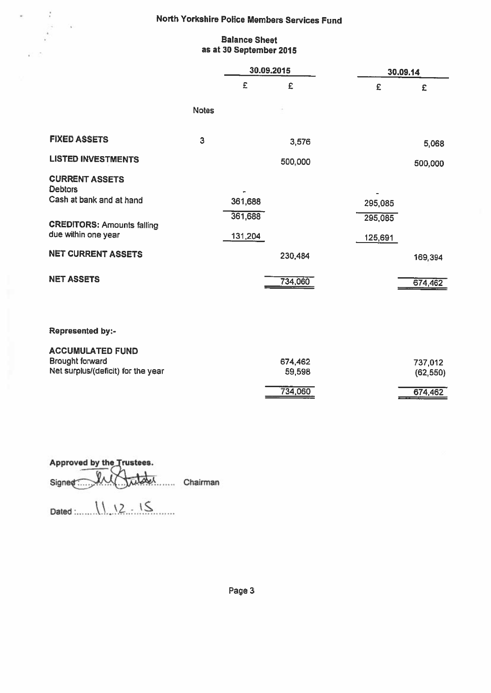### Balance Sheet as at 30 September 2015

|                                         |              | 30.09.2015 |         | 30.09.14 |           |
|-----------------------------------------|--------------|------------|---------|----------|-----------|
|                                         |              | £          | £       | £        | £         |
|                                         | <b>Notes</b> |            |         |          |           |
| <b>FIXED ASSETS</b>                     | 3            |            | 3,576   |          | 5,068     |
| <b>LISTED INVESTMENTS</b>               |              |            | 500,000 |          | 500,000   |
| <b>CURRENT ASSETS</b><br><b>Debtors</b> |              |            |         |          |           |
| Cash at bank and at hand                |              | 361,688    |         | 295,085  |           |
| <b>CREDITORS: Amounts falling</b>       |              | 361,688    |         | 295,085  |           |
| due within one year                     |              | 131,204    |         | 125,691  |           |
| <b>NET CURRENT ASSETS</b>               |              |            | 230,484 |          | 169,394   |
| <b>NET ASSETS</b>                       |              |            | 734,060 |          | 674,462   |
|                                         |              |            |         |          |           |
| <b>Represented by:-</b>                 |              |            |         |          |           |
| <b>ACCUMULATED FUND</b>                 |              |            |         |          |           |
| <b>Brought forward</b>                  |              |            | 674,462 |          | 737,012   |
| Net surplus/(deficit) for the year      |              |            | 59,598  |          | (62, 550) |
|                                         |              |            | 734,060 |          | 674,462   |

Approved by the Trustees. Signed. In the Chairman

 $Dated$   $1112.15$ 

 $\frac{1}{2}$ 

 $\mathcal{N}$ 

Page 3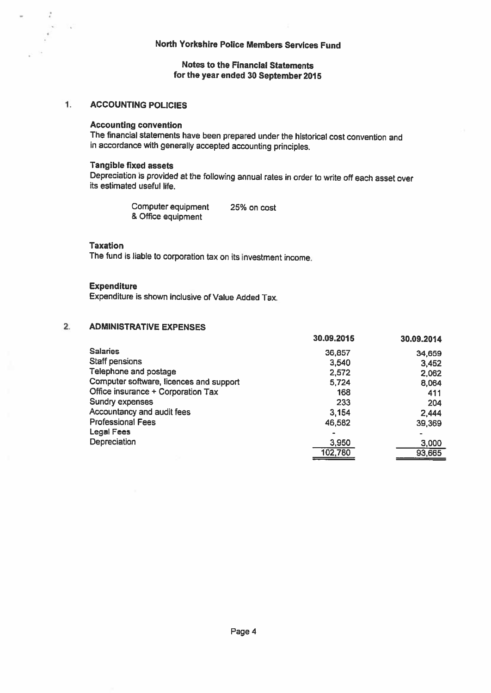### Notes to the Financial Statements for the year ended 30 September 2015

#### $1.$ ACCOUNTING POLICIES

o.

#### Accounting convention

The financial statements have been prepared under the historical cost convention and in accordance with generally accepted accounting principles.

#### Tangible fixed assets

Depreciation is provided at the following annual rates in order to write off each asset over its estimated useful life.

> Computer equipment 25% on cost & Office equipment

#### Taxation

The fund is liable to corporation tax on its investment income.

#### **Expenditure**

Expenditure is shown inclusive of Value Added Tax.

#### 2. ADMINISTRATIVE EXPENSES

|                                         | 30.09.2015 | 30.09.2014     |
|-----------------------------------------|------------|----------------|
| <b>Salaries</b>                         | 36,857     | 34,659         |
| <b>Staff pensions</b>                   | 3,540      | 3,452          |
| Telephone and postage                   | 2,572      | 2,062          |
| Computer software, licences and support | 5,724      | 8,064          |
| Office insurance + Corporation Tax      | 168        | 411            |
| Sundry expenses                         | 233        | 204            |
| Accountancy and audit fees              | 3,154      | 2,444          |
| <b>Professional Fees</b>                | 46,582     | 39,369         |
| <b>Legal Fees</b>                       | $\bullet$  | $\blacksquare$ |
| Depreciation                            | 3,950      | 3,000          |
|                                         | 102,780    | 93,665         |
|                                         |            |                |